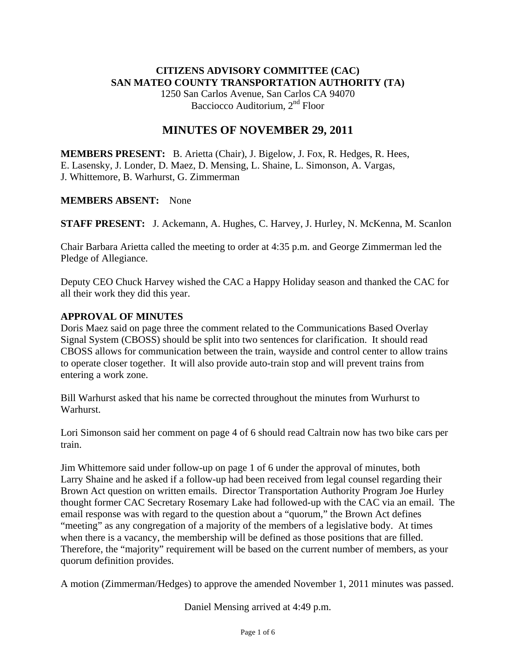# **CITIZENS ADVISORY COMMITTEE (CAC) SAN MATEO COUNTY TRANSPORTATION AUTHORITY (TA)**

1250 San Carlos Avenue, San Carlos CA 94070 Bacciocco Auditorium, 2<sup>nd</sup> Floor

## **MINUTES OF NOVEMBER 29, 2011**

**MEMBERS PRESENT:** B. Arietta (Chair), J. Bigelow, J. Fox, R. Hedges, R. Hees, E. Lasensky, J. Londer, D. Maez, D. Mensing, L. Shaine, L. Simonson, A. Vargas, J. Whittemore, B. Warhurst, G. Zimmerman

## **MEMBERS ABSENT:** None

**STAFF PRESENT:** J. Ackemann, A. Hughes, C. Harvey, J. Hurley, N. McKenna, M. Scanlon

Chair Barbara Arietta called the meeting to order at 4:35 p.m. and George Zimmerman led the Pledge of Allegiance.

Deputy CEO Chuck Harvey wished the CAC a Happy Holiday season and thanked the CAC for all their work they did this year.

## **APPROVAL OF MINUTES**

Doris Maez said on page three the comment related to the Communications Based Overlay Signal System (CBOSS) should be split into two sentences for clarification. It should read CBOSS allows for communication between the train, wayside and control center to allow trains to operate closer together. It will also provide auto-train stop and will prevent trains from entering a work zone.

Bill Warhurst asked that his name be corrected throughout the minutes from Wurhurst to Warhurst.

Lori Simonson said her comment on page 4 of 6 should read Caltrain now has two bike cars per train.

Jim Whittemore said under follow-up on page 1 of 6 under the approval of minutes, both Larry Shaine and he asked if a follow-up had been received from legal counsel regarding their Brown Act question on written emails. Director Transportation Authority Program Joe Hurley thought former CAC Secretary Rosemary Lake had followed-up with the CAC via an email. The email response was with regard to the question about a "quorum," the Brown Act defines "meeting" as any congregation of a majority of the members of a legislative body. At times when there is a vacancy, the membership will be defined as those positions that are filled. Therefore, the "majority" requirement will be based on the current number of members, as your quorum definition provides.

A motion (Zimmerman/Hedges) to approve the amended November 1, 2011 minutes was passed.

Daniel Mensing arrived at 4:49 p.m.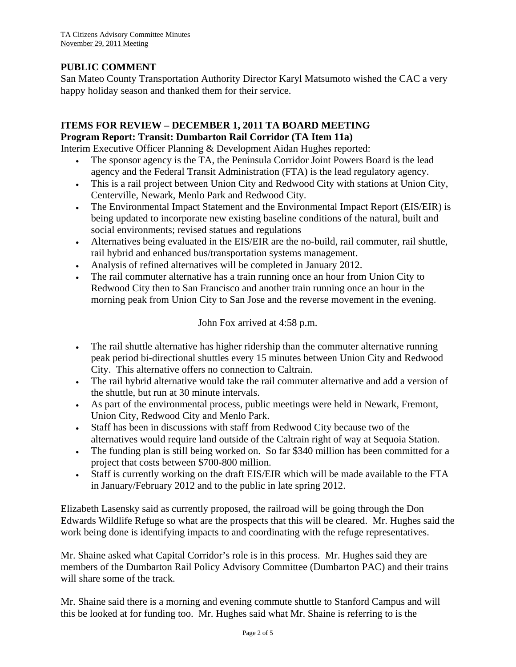## **PUBLIC COMMENT**

San Mateo County Transportation Authority Director Karyl Matsumoto wished the CAC a very happy holiday season and thanked them for their service.

### **ITEMS FOR REVIEW – DECEMBER 1, 2011 TA BOARD MEETING Program Report: Transit: Dumbarton Rail Corridor (TA Item 11a)**

Interim Executive Officer Planning & Development Aidan Hughes reported:

- The sponsor agency is the TA, the Peninsula Corridor Joint Powers Board is the lead agency and the Federal Transit Administration (FTA) is the lead regulatory agency.
- This is a rail project between Union City and Redwood City with stations at Union City, Centerville, Newark, Menlo Park and Redwood City.
- The Environmental Impact Statement and the Environmental Impact Report (EIS/EIR) is being updated to incorporate new existing baseline conditions of the natural, built and social environments; revised statues and regulations
- Alternatives being evaluated in the EIS/EIR are the no-build, rail commuter, rail shuttle, rail hybrid and enhanced bus/transportation systems management.
- Analysis of refined alternatives will be completed in January 2012.
- The rail commuter alternative has a train running once an hour from Union City to Redwood City then to San Francisco and another train running once an hour in the morning peak from Union City to San Jose and the reverse movement in the evening.

John Fox arrived at 4:58 p.m.

- The rail shuttle alternative has higher ridership than the commuter alternative running peak period bi-directional shuttles every 15 minutes between Union City and Redwood City. This alternative offers no connection to Caltrain.
- The rail hybrid alternative would take the rail commuter alternative and add a version of the shuttle, but run at 30 minute intervals.
- As part of the environmental process, public meetings were held in Newark, Fremont, Union City, Redwood City and Menlo Park.
- Staff has been in discussions with staff from Redwood City because two of the alternatives would require land outside of the Caltrain right of way at Sequoia Station.
- The funding plan is still being worked on. So far \$340 million has been committed for a project that costs between \$700-800 million.
- Staff is currently working on the draft EIS/EIR which will be made available to the FTA in January/February 2012 and to the public in late spring 2012.

Elizabeth Lasensky said as currently proposed, the railroad will be going through the Don Edwards Wildlife Refuge so what are the prospects that this will be cleared. Mr. Hughes said the work being done is identifying impacts to and coordinating with the refuge representatives.

Mr. Shaine asked what Capital Corridor's role is in this process. Mr. Hughes said they are members of the Dumbarton Rail Policy Advisory Committee (Dumbarton PAC) and their trains will share some of the track.

Mr. Shaine said there is a morning and evening commute shuttle to Stanford Campus and will this be looked at for funding too. Mr. Hughes said what Mr. Shaine is referring to is the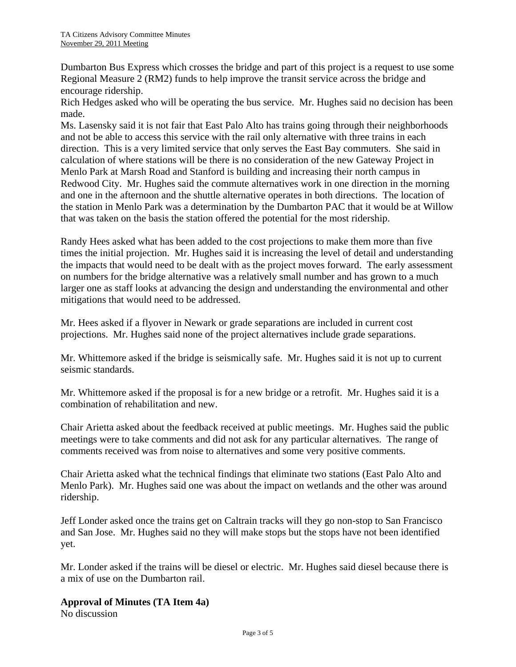Dumbarton Bus Express which crosses the bridge and part of this project is a request to use some Regional Measure 2 (RM2) funds to help improve the transit service across the bridge and encourage ridership.

Rich Hedges asked who will be operating the bus service. Mr. Hughes said no decision has been made.

Ms. Lasensky said it is not fair that East Palo Alto has trains going through their neighborhoods and not be able to access this service with the rail only alternative with three trains in each direction. This is a very limited service that only serves the East Bay commuters. She said in calculation of where stations will be there is no consideration of the new Gateway Project in Menlo Park at Marsh Road and Stanford is building and increasing their north campus in Redwood City. Mr. Hughes said the commute alternatives work in one direction in the morning and one in the afternoon and the shuttle alternative operates in both directions. The location of the station in Menlo Park was a determination by the Dumbarton PAC that it would be at Willow that was taken on the basis the station offered the potential for the most ridership.

Randy Hees asked what has been added to the cost projections to make them more than five times the initial projection. Mr. Hughes said it is increasing the level of detail and understanding the impacts that would need to be dealt with as the project moves forward. The early assessment on numbers for the bridge alternative was a relatively small number and has grown to a much larger one as staff looks at advancing the design and understanding the environmental and other mitigations that would need to be addressed.

Mr. Hees asked if a flyover in Newark or grade separations are included in current cost projections. Mr. Hughes said none of the project alternatives include grade separations.

Mr. Whittemore asked if the bridge is seismically safe. Mr. Hughes said it is not up to current seismic standards.

Mr. Whittemore asked if the proposal is for a new bridge or a retrofit. Mr. Hughes said it is a combination of rehabilitation and new.

Chair Arietta asked about the feedback received at public meetings. Mr. Hughes said the public meetings were to take comments and did not ask for any particular alternatives. The range of comments received was from noise to alternatives and some very positive comments.

Chair Arietta asked what the technical findings that eliminate two stations (East Palo Alto and Menlo Park). Mr. Hughes said one was about the impact on wetlands and the other was around ridership.

Jeff Londer asked once the trains get on Caltrain tracks will they go non-stop to San Francisco and San Jose. Mr. Hughes said no they will make stops but the stops have not been identified yet.

Mr. Londer asked if the trains will be diesel or electric. Mr. Hughes said diesel because there is a mix of use on the Dumbarton rail.

## **Approval of Minutes (TA Item 4a)**

No discussion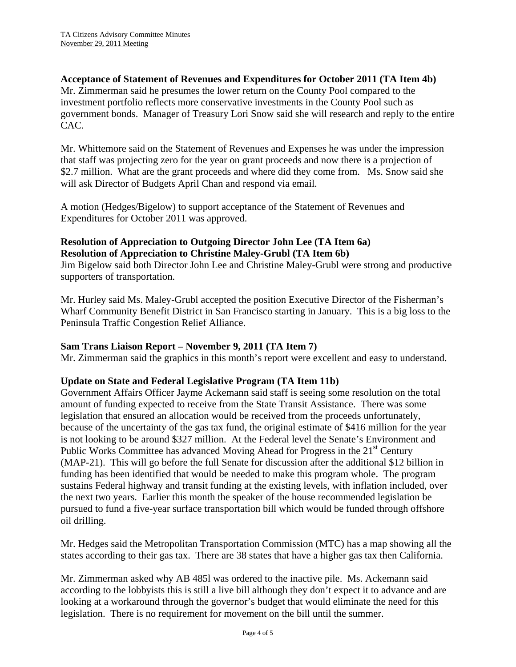## **Acceptance of Statement of Revenues and Expenditures for October 2011 (TA Item 4b)**

Mr. Zimmerman said he presumes the lower return on the County Pool compared to the investment portfolio reflects more conservative investments in the County Pool such as government bonds. Manager of Treasury Lori Snow said she will research and reply to the entire CAC.

Mr. Whittemore said on the Statement of Revenues and Expenses he was under the impression that staff was projecting zero for the year on grant proceeds and now there is a projection of \$2.7 million. What are the grant proceeds and where did they come from. Ms. Snow said she will ask Director of Budgets April Chan and respond via email.

A motion (Hedges/Bigelow) to support acceptance of the Statement of Revenues and Expenditures for October 2011 was approved.

## **Resolution of Appreciation to Outgoing Director John Lee (TA Item 6a) Resolution of Appreciation to Christine Maley-Grubl (TA Item 6b)**

Jim Bigelow said both Director John Lee and Christine Maley-Grubl were strong and productive supporters of transportation.

Mr. Hurley said Ms. Maley-Grubl accepted the position Executive Director of the Fisherman's Wharf Community Benefit District in San Francisco starting in January. This is a big loss to the Peninsula Traffic Congestion Relief Alliance.

### **Sam Trans Liaison Report – November 9, 2011 (TA Item 7)**

Mr. Zimmerman said the graphics in this month's report were excellent and easy to understand.

### **Update on State and Federal Legislative Program (TA Item 11b)**

Government Affairs Officer Jayme Ackemann said staff is seeing some resolution on the total amount of funding expected to receive from the State Transit Assistance. There was some legislation that ensured an allocation would be received from the proceeds unfortunately, because of the uncertainty of the gas tax fund, the original estimate of \$416 million for the year is not looking to be around \$327 million. At the Federal level the Senate's Environment and Public Works Committee has advanced Moving Ahead for Progress in the  $21<sup>st</sup>$  Century (MAP-21). This will go before the full Senate for discussion after the additional \$12 billion in funding has been identified that would be needed to make this program whole. The program sustains Federal highway and transit funding at the existing levels, with inflation included, over the next two years. Earlier this month the speaker of the house recommended legislation be pursued to fund a five-year surface transportation bill which would be funded through offshore oil drilling.

Mr. Hedges said the Metropolitan Transportation Commission (MTC) has a map showing all the states according to their gas tax. There are 38 states that have a higher gas tax then California.

Mr. Zimmerman asked why AB 485l was ordered to the inactive pile. Ms. Ackemann said according to the lobbyists this is still a live bill although they don't expect it to advance and are looking at a workaround through the governor's budget that would eliminate the need for this legislation. There is no requirement for movement on the bill until the summer.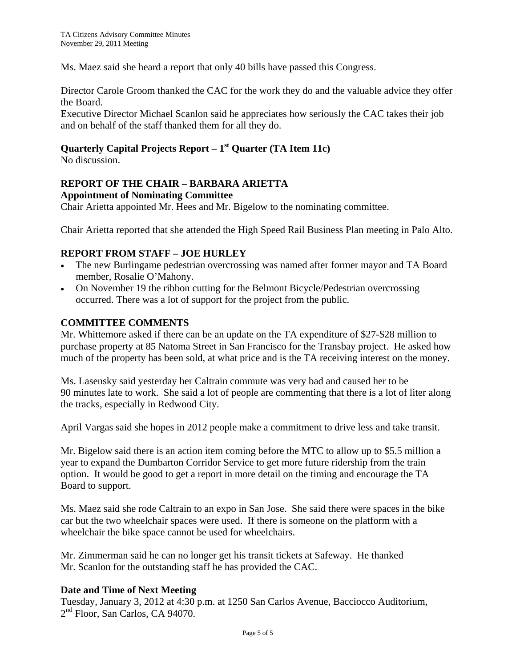Ms. Maez said she heard a report that only 40 bills have passed this Congress.

Director Carole Groom thanked the CAC for the work they do and the valuable advice they offer the Board.

Executive Director Michael Scanlon said he appreciates how seriously the CAC takes their job and on behalf of the staff thanked them for all they do.

## **Quarterly Capital Projects Report – 1st Quarter (TA Item 11c)**

No discussion.

#### **REPORT OF THE CHAIR – BARBARA ARIETTA Appointment of Nominating Committee**

Chair Arietta appointed Mr. Hees and Mr. Bigelow to the nominating committee.

Chair Arietta reported that she attended the High Speed Rail Business Plan meeting in Palo Alto.

### **REPORT FROM STAFF – JOE HURLEY**

- The new Burlingame pedestrian overcrossing was named after former mayor and TA Board member, Rosalie O'Mahony.
- On November 19 the ribbon cutting for the Belmont Bicycle/Pedestrian overcrossing occurred. There was a lot of support for the project from the public.

#### **COMMITTEE COMMENTS**

Mr. Whittemore asked if there can be an update on the TA expenditure of \$27-\$28 million to purchase property at 85 Natoma Street in San Francisco for the Transbay project. He asked how much of the property has been sold, at what price and is the TA receiving interest on the money.

Ms. Lasensky said yesterday her Caltrain commute was very bad and caused her to be 90 minutes late to work. She said a lot of people are commenting that there is a lot of liter along the tracks, especially in Redwood City.

April Vargas said she hopes in 2012 people make a commitment to drive less and take transit.

Mr. Bigelow said there is an action item coming before the MTC to allow up to \$5.5 million a year to expand the Dumbarton Corridor Service to get more future ridership from the train option. It would be good to get a report in more detail on the timing and encourage the TA Board to support.

Ms. Maez said she rode Caltrain to an expo in San Jose. She said there were spaces in the bike car but the two wheelchair spaces were used. If there is someone on the platform with a wheelchair the bike space cannot be used for wheelchairs.

Mr. Zimmerman said he can no longer get his transit tickets at Safeway. He thanked Mr. Scanlon for the outstanding staff he has provided the CAC.

### **Date and Time of Next Meeting**

Tuesday, January 3, 2012 at 4:30 p.m. at 1250 San Carlos Avenue, Bacciocco Auditorium, 2<sup>nd</sup> Floor, San Carlos, CA 94070.